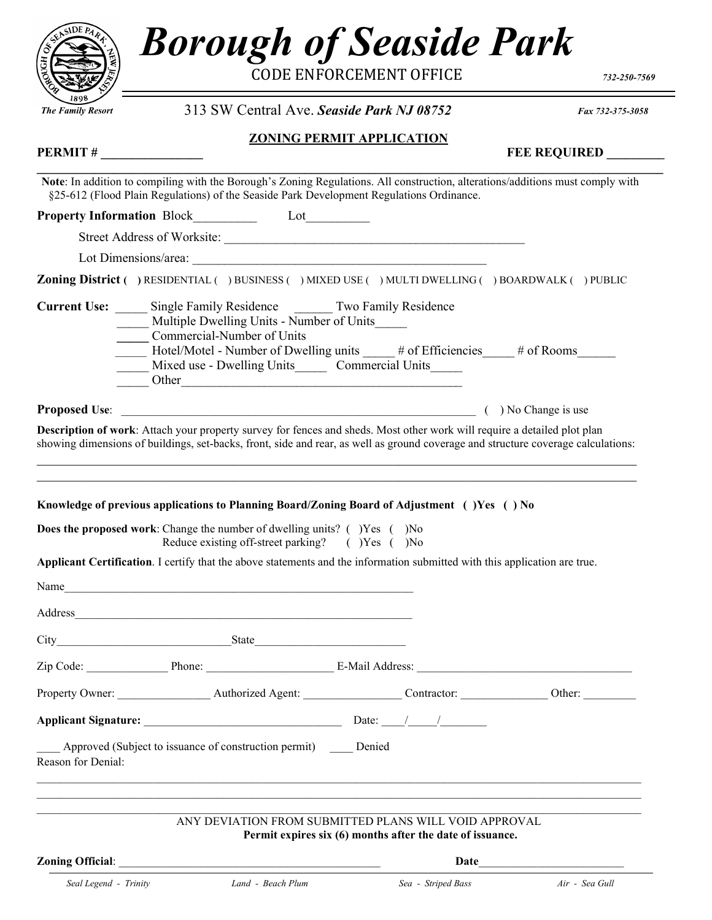|                          |                                                                                                                                                                                                     | CODE ENFORCEMENT OFFICE                                                                                                                                                                                                    | 732-250-7569     |
|--------------------------|-----------------------------------------------------------------------------------------------------------------------------------------------------------------------------------------------------|----------------------------------------------------------------------------------------------------------------------------------------------------------------------------------------------------------------------------|------------------|
| <b>The Family Resort</b> |                                                                                                                                                                                                     | 313 SW Central Ave. Seaside Park NJ 08752                                                                                                                                                                                  | Fax 732-375-3058 |
|                          |                                                                                                                                                                                                     | <b>ZONING PERMIT APPLICATION</b>                                                                                                                                                                                           |                  |
| PERMIT #                 |                                                                                                                                                                                                     |                                                                                                                                                                                                                            | FEE REQUIRED     |
|                          |                                                                                                                                                                                                     | Note: In addition to compiling with the Borough's Zoning Regulations. All construction, alterations/additions must comply with<br>§25-612 (Flood Plain Regulations) of the Seaside Park Development Regulations Ordinance. |                  |
|                          |                                                                                                                                                                                                     |                                                                                                                                                                                                                            |                  |
|                          |                                                                                                                                                                                                     |                                                                                                                                                                                                                            |                  |
|                          |                                                                                                                                                                                                     |                                                                                                                                                                                                                            |                  |
|                          |                                                                                                                                                                                                     | Zoning District () RESIDENTIAL () BUSINESS () MIXED USE () MULTI DWELLING () BOARDWALK () PUBLIC                                                                                                                           |                  |
|                          | Current Use: Single Family Residence ______ Two Family Residence<br>Multiple Dwelling Units - Number of Units<br>Commercial-Number of Units<br>Mixed use - Dwelling Units Commercial Units<br>Other | Hotel/Motel - Number of Dwelling units _____# of Efficiencies____# of Rooms______                                                                                                                                          |                  |
| <b>Proposed Use:</b>     |                                                                                                                                                                                                     | () No Change is use                                                                                                                                                                                                        |                  |
|                          |                                                                                                                                                                                                     |                                                                                                                                                                                                                            |                  |
|                          | <b>Does the proposed work:</b> Change the number of dwelling units? () Yes () No                                                                                                                    | Knowledge of previous applications to Planning Board/Zoning Board of Adjustment () Yes () No                                                                                                                               |                  |
|                          | Reduce existing off-street parking? () Yes () No                                                                                                                                                    | Applicant Certification. I certify that the above statements and the information submitted with this application are true.                                                                                                 |                  |
|                          |                                                                                                                                                                                                     |                                                                                                                                                                                                                            |                  |
|                          | Name                                                                                                                                                                                                |                                                                                                                                                                                                                            |                  |
|                          |                                                                                                                                                                                                     |                                                                                                                                                                                                                            |                  |
|                          |                                                                                                                                                                                                     |                                                                                                                                                                                                                            |                  |
|                          |                                                                                                                                                                                                     | Zip Code: Phone: Phone: E-Mail Address: Communication Code:                                                                                                                                                                |                  |
|                          |                                                                                                                                                                                                     |                                                                                                                                                                                                                            |                  |
|                          |                                                                                                                                                                                                     |                                                                                                                                                                                                                            |                  |
| Reason for Denial:       | Approved (Subject to issuance of construction permit) Denied                                                                                                                                        |                                                                                                                                                                                                                            |                  |
|                          |                                                                                                                                                                                                     | ANY DEVIATION FROM SUBMITTED PLANS WILL VOID APPROVAL<br>Permit expires six (6) months after the date of issuance.                                                                                                         |                  |
|                          |                                                                                                                                                                                                     |                                                                                                                                                                                                                            |                  |